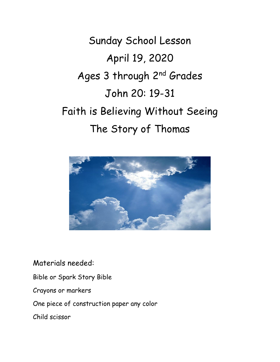Sunday School Lesson April 19, 2020 Ages 3 through 2<sup>nd</sup> Grades John 20: 19-31 Faith is Believing Without Seeing The Story of Thomas



Materials needed:

Bible or Spark Story Bible

Crayons or markers

One piece of construction paper any color

Child scissor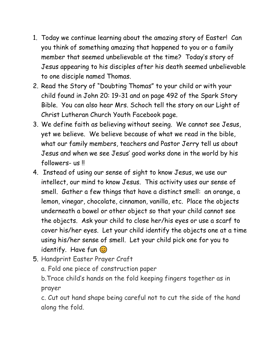- 1. Today we continue learning about the amazing story of Easter! Can you think of something amazing that happened to you or a family member that seemed unbelievable at the time? Today's story of Jesus appearing to his disciples after his death seemed unbelievable to one disciple named Thomas.
- 2. Read the Story of "Doubting Thomas" to your child or with your child found in John 20: 19-31 and on page 492 of the Spark Story Bible. You can also hear Mrs. Schoch tell the story on our Light of Christ Lutheran Church Youth Facebook page.
- 3. We define faith as believing without seeing. We cannot see Jesus, yet we believe. We believe because of what we read in the bible, what our family members, teachers and Pastor Jerry tell us about Jesus and when we see Jesus' good works done in the world by his followers- us !!
- 4. Instead of using our sense of sight to know Jesus, we use our intellect, our mind to know Jesus. This activity uses our sense of smell. Gather a few things that have a distinct smell: an orange, a lemon, vinegar, chocolate, cinnamon, vanilla, etc. Place the objects underneath a bowel or other object so that your child cannot see the objects. Ask your child to close her/his eyes or use a scarf to cover his/her eyes. Let your child identify the objects one at a time using his/her sense of smell. Let your child pick one for you to identify. Have fun  $\odot$
- 5. Handprint Easter Prayer Craft

a. Fold one piece of construction paper

b.Trace child's hands on the fold keeping fingers together as in prayer

c. Cut out hand shape being careful not to cut the side of the hand along the fold.